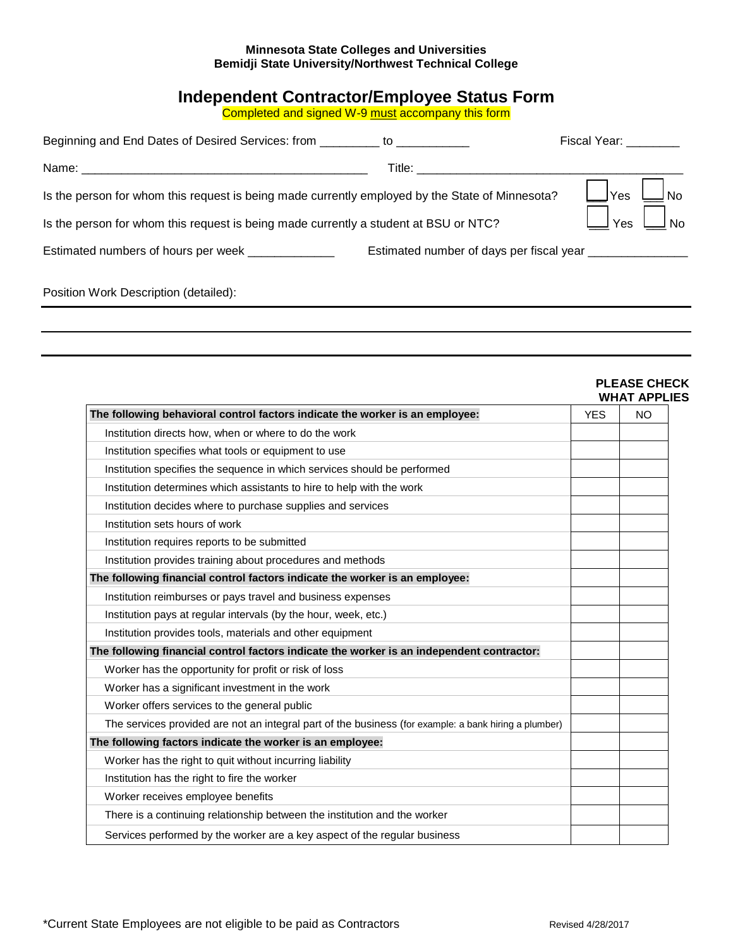## **Minnesota State Colleges and Universities Bemidji State University/Northwest Technical College**

## **Independent Contractor/Employee Status Form**

Completed and signed W-9 <u>must</u> accompany this form

| Beginning and End Dates of Desired Services: from _________ to _________________                |                                                                                                                                                                                                                                | Fiscal Year: The Money State of the State of The Town State of The Town State of The Town State of T |
|-------------------------------------------------------------------------------------------------|--------------------------------------------------------------------------------------------------------------------------------------------------------------------------------------------------------------------------------|------------------------------------------------------------------------------------------------------|
|                                                                                                 | Title: The contract of the contract of the contract of the contract of the contract of the contract of the contract of the contract of the contract of the contract of the contract of the contract of the contract of the con |                                                                                                      |
| Is the person for whom this request is being made currently employed by the State of Minnesota? |                                                                                                                                                                                                                                | $\Box$ No<br>$\Box$ Yes                                                                              |
| Is the person for whom this request is being made currently a student at BSU or NTC?            |                                                                                                                                                                                                                                | $\rfloor_{\text{Yes}}\ \square_{\text{No}}$                                                          |
| Estimated numbers of hours per week ______________                                              | Estimated number of days per fiscal year __________________                                                                                                                                                                    |                                                                                                      |
| Position Work Description (detailed):                                                           |                                                                                                                                                                                                                                |                                                                                                      |

| The following behavioral control factors indicate the worker is an employee:                          | <b>YES</b> | <b>WHAT APPLIES</b><br>NO. |
|-------------------------------------------------------------------------------------------------------|------------|----------------------------|
| Institution directs how, when or where to do the work                                                 |            |                            |
| Institution specifies what tools or equipment to use                                                  |            |                            |
| Institution specifies the sequence in which services should be performed                              |            |                            |
| Institution determines which assistants to hire to help with the work                                 |            |                            |
| Institution decides where to purchase supplies and services                                           |            |                            |
| Institution sets hours of work                                                                        |            |                            |
| Institution requires reports to be submitted                                                          |            |                            |
| Institution provides training about procedures and methods                                            |            |                            |
| The following financial control factors indicate the worker is an employee:                           |            |                            |
| Institution reimburses or pays travel and business expenses                                           |            |                            |
| Institution pays at regular intervals (by the hour, week, etc.)                                       |            |                            |
| Institution provides tools, materials and other equipment                                             |            |                            |
| The following financial control factors indicate the worker is an independent contractor:             |            |                            |
| Worker has the opportunity for profit or risk of loss                                                 |            |                            |
| Worker has a significant investment in the work                                                       |            |                            |
| Worker offers services to the general public                                                          |            |                            |
| The services provided are not an integral part of the business (for example: a bank hiring a plumber) |            |                            |
| The following factors indicate the worker is an employee:                                             |            |                            |
| Worker has the right to quit without incurring liability                                              |            |                            |
| Institution has the right to fire the worker                                                          |            |                            |
| Worker receives employee benefits                                                                     |            |                            |
| There is a continuing relationship between the institution and the worker                             |            |                            |
| Services performed by the worker are a key aspect of the regular business                             |            |                            |

## **PLEASE CHECK**